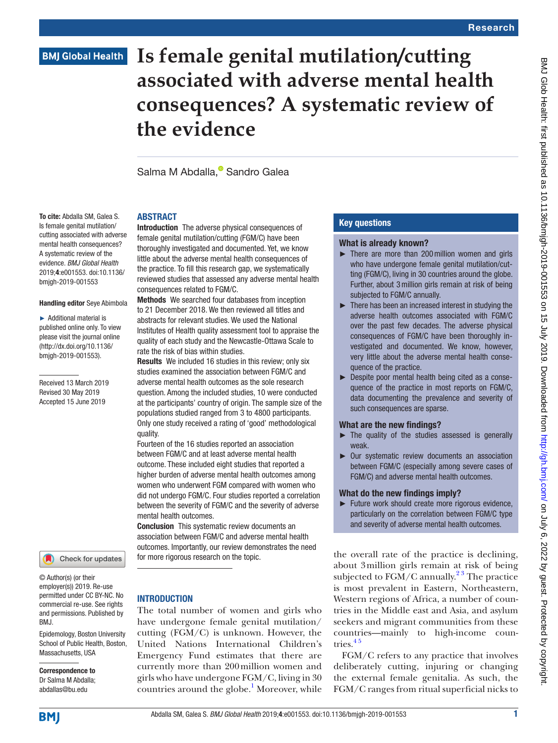# **BMJ Global Health**

# **Is female genital mutilation/cutting associated with adverse mental health consequences? A systematic review of the evidence**

SalmaM Abdalla.<sup>®</sup> Sandro Galea

#### **ABSTRACT**

To cite: Abdalla SM, Galea S. Is female genital mutilation/ cutting associated with adverse mental health consequences? A systematic review of the evidence. *BMJ Global Health* 2019;4:e001553. doi:10.1136/ bmjgh-2019-001553

#### Handling editor Seye Abimbola

► Additional material is published online only. To view please visit the journal online ([http://dx.doi.org/10.1136/](http://dx.doi.org/10.1136bmjgh-2019-001553) [bmjgh-2019-001553\)](http://dx.doi.org/10.1136bmjgh-2019-001553).

Received 13 March 2019 Revised 30 May 2019 Accepted 15 June 2019



© Author(s) (or their employer(s)) 2019. Re-use permitted under CC BY-NC. No commercial re-use. See rights and permissions. Published by BMJ.

Epidemology, Boston University School of Public Health, Boston, Massachusetts, USA

Correspondence to Dr Salma M Abdalla; abdallas@bu.edu

Introduction The adverse physical consequences of female genital mutilation/cutting (FGM/C) have been thoroughly investigated and documented. Yet, we know little about the adverse mental health consequences of the practice. To fill this research gap, we systematically reviewed studies that assessed any adverse mental health consequences related to FGM/C.

Methods We searched four databases from inception to 21 December 2018. We then reviewed all titles and abstracts for relevant studies. We used the National Institutes of Health quality assessment tool to appraise the quality of each study and the Newcastle-Ottawa Scale to rate the risk of bias within studies.

Results We included 16 studies in this review; only six studies examined the association between FGM/C and adverse mental health outcomes as the sole research question. Among the included studies, 10 were conducted at the participants' country of origin. The sample size of the populations studied ranged from 3 to 4800 participants. Only one study received a rating of 'good' methodological quality.

Fourteen of the 16 studies reported an association between FGM/C and at least adverse mental health outcome. These included eight studies that reported a higher burden of adverse mental health outcomes among women who underwent FGM compared with women who did not undergo FGM/C. Four studies reported a correlation between the severity of FGM/C and the severity of adverse mental health outcomes.

Conclusion This systematic review documents an association between FGM/C and adverse mental health outcomes. Importantly, our review demonstrates the need for more rigorous research on the topic.

#### **INTRODUCTION**

The total number of women and girls who have undergone female genital mutilation/ cutting (FGM/C) is unknown. However, the United Nations International Children's Emergency Fund estimates that there are currently more than 200million women and girls who have undergone FGM/C, living in 30 countries around the globe.<sup>[1](#page-10-0)</sup> Moreover, while

## Key questions

#### What is already known?

- ► There are more than 200million women and girls who have undergone female genital mutilation/cutting (FGM/C), living in 30 countries around the globe. Further, about 3million girls remain at risk of being subjected to FGM/C annually.
- ► There has been an increased interest in studying the adverse health outcomes associated with FGM/C over the past few decades. The adverse physical consequences of FGM/C have been thoroughly investigated and documented. We know, however, very little about the adverse mental health consequence of the practice.
- ► Despite poor mental health being cited as a consequence of the practice in most reports on FGM/C, data documenting the prevalence and severity of such consequences are sparse.

#### What are the new findings?

- The quality of the studies assessed is generally weak.
- ► Our systematic review documents an association between FGM/C (especially among severe cases of FGM/C) and adverse mental health outcomes.

#### What do the new findings imply?

► Future work should create more rigorous evidence, particularly on the correlation between FGM/C type and severity of adverse mental health outcomes.

the overall rate of the practice is declining, about 3million girls remain at risk of being subjected to  $FGM/C$  annually.<sup>23</sup> The practice is most prevalent in Eastern, Northeastern, Western regions of Africa, a number of countries in the Middle east and Asia, and asylum seekers and migrant communities from these countries—mainly to high-income countries.<sup>45</sup>

FGM/C refers to any practice that involves deliberately cutting, injuring or changing the external female genitalia. As such, the FGM/C ranges from ritual superficial nicks to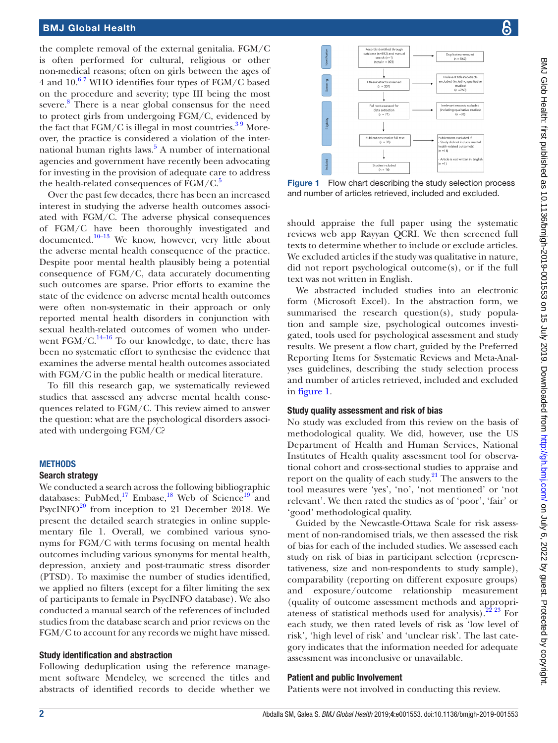#### BMJ Global Health

the complete removal of the external genitalia. FGM/C is often performed for cultural, religious or other non-medical reasons; often on girls between the ages of 4 and  $10^{67}$  WHO identifies four types of FGM/C based on the procedure and severity; type III being the most severe.<sup>[8](#page-10-4)</sup> There is a near global consensus for the need to protect girls from undergoing FGM/C, evidenced by the fact that  $FGM/C$  is illegal in most countries.<sup>39</sup> Moreover, the practice is considered a violation of the inter-national human rights laws.<sup>[5](#page-10-6)</sup> A number of international agencies and government have recently been advocating for investing in the provision of adequate care to address the health-related consequences of  $\text{FGM/C.}^5$ 

Over the past few decades, there has been an increased interest in studying the adverse health outcomes associated with FGM/C. The adverse physical consequences of FGM/C have been thoroughly investigated and documented.[10–13](#page-10-7) We know, however, very little about the adverse mental health consequence of the practice. Despite poor mental health plausibly being a potential consequence of FGM/C, data accurately documenting such outcomes are sparse. Prior efforts to examine the state of the evidence on adverse mental health outcomes were often non-systematic in their approach or only reported mental health disorders in conjunction with sexual health-related outcomes of women who underwent  $FGM/C.<sup>14–16</sup>$  To our knowledge, to date, there has been no systematic effort to synthesise the evidence that examines the adverse mental health outcomes associated with FGM/C in the public health or medical literature.

To fill this research gap, we systematically reviewed studies that assessed any adverse mental health consequences related to FGM/C. This review aimed to answer the question: what are the psychological disorders associated with undergoing FGM/C?

#### **METHODS**

#### Search strategy

We conducted a search across the following bibliographic databases: PubMed,<sup>17</sup> Embase,<sup>18</sup> Web of Science<sup>19</sup> and PsycINF $O^{20}$  from inception to 21 December 2018. We present the detailed search strategies in [online supple](https://dx.doi.org/10.1136/bmjgh-2019-001553)[mentary file 1](https://dx.doi.org/10.1136/bmjgh-2019-001553). Overall, we combined various synonyms for FGM/C with terms focusing on mental health outcomes including various synonyms for mental health, depression, anxiety and post-traumatic stress disorder (PTSD). To maximise the number of studies identified, we applied no filters (except for a filter limiting the sex of participants to female in PsycINFO database). We also conducted a manual search of the references of included studies from the database search and prior reviews on the FGM/C to account for any records we might have missed.

#### Study identification and abstraction

Following deduplication using the reference management software Mendeley, we screened the titles and abstracts of identified records to decide whether we



<span id="page-1-0"></span>Figure 1 Flow chart describing the study selection process and number of articles retrieved, included and excluded.

should appraise the full paper using the systematic reviews web app Rayyan QCRI. We then screened full texts to determine whether to include or exclude articles. We excluded articles if the study was qualitative in nature, did not report psychological outcome(s), or if the full text was not written in English.

We abstracted included studies into an electronic form (Microsoft Excel). In the abstraction form, we summarised the research question(s), study population and sample size, psychological outcomes investigated, tools used for psychological assessment and study results. We present a flow chart, guided by the Preferred Reporting Items for Systematic Reviews and Meta-Analyses guidelines, describing the study selection process and number of articles retrieved, included and excluded in [figure](#page-1-0) 1.

#### Study quality assessment and risk of bias

No study was excluded from this review on the basis of methodological quality. We did, however, use the US Department of Health and Human Services, National Institutes of Health quality assessment tool for observational cohort and cross-sectional studies to appraise and report on the quality of each study.<sup>21</sup> The answers to the tool measures were 'yes', 'no', 'not mentioned' or 'not relevant'. We then rated the studies as of 'poor', 'fair' or 'good' methodological quality.

Guided by the Newcastle-Ottawa Scale for risk assessment of non-randomised trials, we then assessed the risk of bias for each of the included studies. We assessed each study on risk of bias in participant selection (representativeness, size and non-respondents to study sample), comparability (reporting on different exposure groups) and exposure/outcome relationship measurement (quality of outcome assessment methods and appropriateness of statistical methods used for analysis). $22^{23}$  For each study, we then rated levels of risk as 'low level of risk', 'high level of risk' and 'unclear risk'. The last category indicates that the information needed for adequate assessment was inconclusive or unavailable.

#### Patient and public Involvement

Patients were not involved in conducting this review.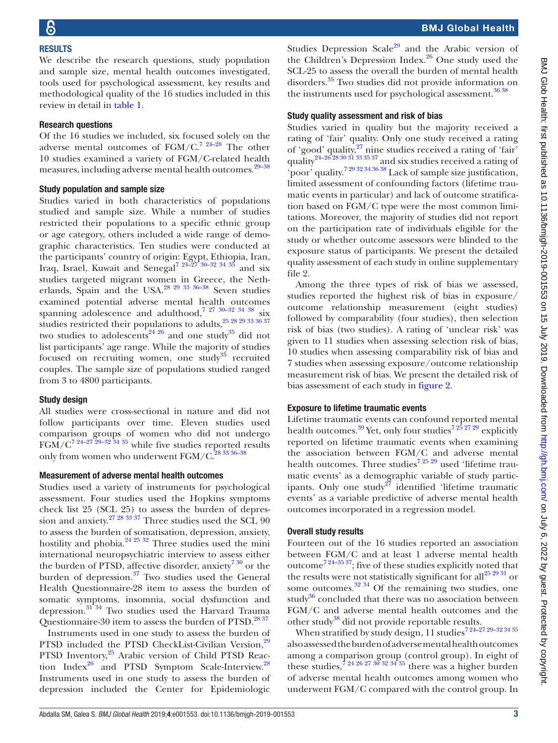#### **RESULTS**

We describe the research questions, study population and sample size, mental health outcomes investigated, tools used for psychological assessment, key results and methodological quality of the 16 studies included in this review in detail in [table](#page-3-0) 1.

#### Research questions

Of the 16 studies we included, six focused solely on the adverse mental outcomes of  $FGM/C$ .<sup>7</sup> <sup>24–28</sup> The other 10 studies examined a variety of FGM/C-related health measures, including adverse mental health outcomes.<sup>29-38</sup>

#### Study population and sample size

Studies varied in both characteristics of populations studied and sample size. While a number of studies restricted their populations to a specific ethnic group or age category, others included a wide range of demographic characteristics. Ten studies were conducted at the participants' country of origin: Egypt, Ethiopia, Iran, Iraq, Israel, Kuwait and Senegal<sup>7 24–27 30–32 34 35</sup> and six studies targeted migrant women in Greece, the Netherlands, Spain and the USA.[28 29 33 36–38](#page-10-17) Seven studies examined potential adverse mental health outcomes spanning adolescence and adulthood,<sup>[7 27 30–32 34 38](#page-10-15)</sup> six studies restricted their populations to adults,<sup>[25 28 29 33 36 37](#page-10-18)</sup> two studies to adolescents<sup>[24 26](#page-10-19)</sup> and one study<sup>35</sup> did not list participants' age range. While the majority of studies focused on recruiting women, one study $35$  recruited couples. The sample size of populations studied ranged from 3 to 4800 participants.

#### Study design

All studies were cross-sectional in nature and did not follow participants over time. Eleven studies used comparison groups of women who did not undergo  $FGM/C^{7\,24-27\,29-32\,34\,35}$  while five studies reported results only from women who underwent  $\text{FGM/C}^{\text{28 33 36-38}}$ 

#### Measurement of adverse mental health outcomes

Studies used a variety of instruments for psychological assessment. Four studies used the Hopkins symptoms check list 25 (SCL 25) to assess the burden of depression and anxiety.<sup>27 28 33 37</sup> Three studies used the SCL 90 to assess the burden of somatisation, depression, anxiety, hostility and phobia. $24 25 32$  Three studies used the mini international neuropsychiatric interview to assess either the burden of PTSD, affective disorder, anxiety<sup>730</sup> or the burden of depression. $37$  Two studies used the General Health Questionnaire-28 item to assess the burden of somatic symptoms, insomnia, social dysfunction and depression.[31 34](#page-10-23) Two studies used the Harvard Trauma Questionnaire-30 item to assess the burden of PTSD.<sup>[28 37](#page-10-17)</sup>

Instruments used in one study to assess the burden of PTSD included the PTSD CheckList-Civilian Version,<sup>29</sup> PTSD Inventory,<sup>25</sup> Arabic version of Child PTSD Reaction Index<sup>26</sup> and PTSD Symptom Scale-Interview.<sup>28</sup> Instruments used in one study to assess the burden of depression included the Center for Epidemiologic Studies Depression Scale $^{29}$  and the Arabic version of the Children's Depression Index. $^{26}$  One study used the SCL-25 to assess the overall the burden of mental health disorders.<sup>35</sup> Two studies did not provide information on the instruments used for psychological assessment.<sup>[36 38](#page-10-25)</sup>

#### Study quality assessment and risk of bias

Studies varied in quality but the majority received a rating of 'fair' quality. Only one study received a rating of 'good' quality,<sup>[27](#page-10-21)</sup> nine studies received a rating of 'fair' quality<sup>24–26</sup> 28 30 31 33 35 37</sup> and six studies received a rating of 'poor' quality.<sup>7 29 32 34 36</sup> 38 Lack of sample size justification, limited assessment of confounding factors (lifetime traumatic events in particular) and lack of outcome stratification based on FGM/C type were the most common limitations. Moreover, the majority of studies did not report on the participation rate of individuals eligible for the study or whether outcome assessors were blinded to the exposure status of participants. We present the detailed quality assessment of each study in [online supplementary](https://dx.doi.org/10.1136/bmjgh-2019-001553) [file 2](https://dx.doi.org/10.1136/bmjgh-2019-001553).

Among the three types of risk of bias we assessed, studies reported the highest risk of bias in exposure/ outcome relationship measurement (eight studies) followed by comparability (four studies), then selection risk of bias (two studies). A rating of 'unclear risk' was given to 11 studies when assessing selection risk of bias, 10 studies when assessing comparability risk of bias and 7 studies when assessing exposure/outcome relationship measurement risk of bias. We present the detailed risk of bias assessment of each study in [figure](#page-8-0) 2.

#### Exposure to lifetime traumatic events

Lifetime traumatic events can confound reported mental health outcomes.<sup>39</sup> Yet, only four studies<sup>7 25</sup>  $27\frac{2}{9}$  explicitly reported on lifetime traumatic events when examining the association between FGM/C and adverse mental health outcomes. Three studies<sup>7 25 29</sup> used 'lifetime traumatic events' as a demographic variable of study participants. Only one study<sup>27</sup> identified 'lifetime traumatic events' as a variable predictive of adverse mental health outcomes incorporated in a regression model.

#### Overall study results

Fourteen out of the 16 studies reported an association between FGM/C and at least 1 adverse mental health outcome<sup>7 24–35 37</sup>; five of these studies explicitly noted that the results were not statistically significant for all<sup>[25 29 31](#page-10-18)</sup> or some outcomes. $32 \frac{34}{10}$  Of the remaining two studies, one study $36$  concluded that there was no association between FGM/C and adverse mental health outcomes and the other study<sup>38</sup> did not provide reportable results.

When stratified by study design,  $11$  studies<sup>724–27 29–32 34 35</sup> also assessed the burden of adverse mental health outcomes among a comparison group (control group). In eight of these studies,  $\frac{724\,26\,27\,30\,32\,34\,35}{}$  there was a higher burden of adverse mental health outcomes among women who underwent FGM/C compared with the control group. In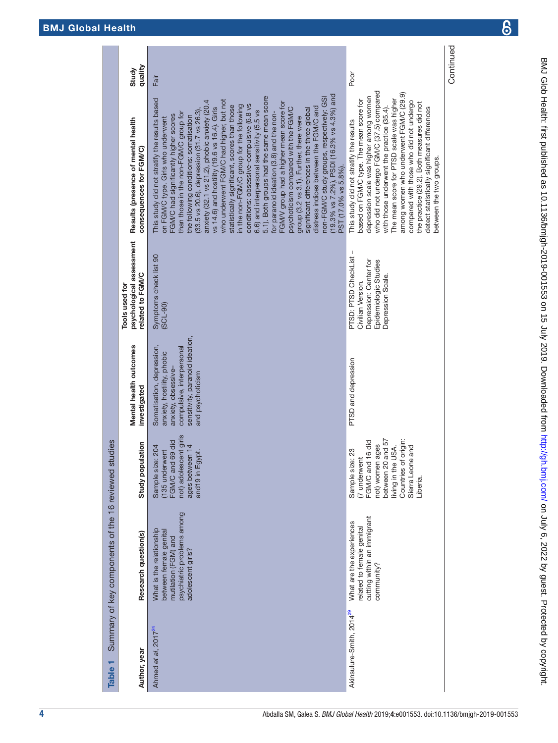|                                                                                                                                                                                                                                                                                                                                                                                                                                                                                                                                                                                                                                                                                                                                                                                                                                                       | Poor                                                                                                                                                                                                                                                                                                                                                                                                                                                                             |
|-------------------------------------------------------------------------------------------------------------------------------------------------------------------------------------------------------------------------------------------------------------------------------------------------------------------------------------------------------------------------------------------------------------------------------------------------------------------------------------------------------------------------------------------------------------------------------------------------------------------------------------------------------------------------------------------------------------------------------------------------------------------------------------------------------------------------------------------------------|----------------------------------------------------------------------------------------------------------------------------------------------------------------------------------------------------------------------------------------------------------------------------------------------------------------------------------------------------------------------------------------------------------------------------------------------------------------------------------|
| (19.3% vs 7.2%), PSDI (16.3% vs 4.3%) and<br>5.1). Both groups had the same mean score<br>non-FGM/C study groups, respectively: GSI<br>who underwent FGM/C had higher, but not<br>anxiety (32.1 vs 21.2), phobic anxiety (20.4<br>FGM/V group had a higher mean score for<br>conditions: obsessive-compulsive (6.8 vs<br>in the non-FGM/C group for the following<br>statistically significant, scores than those<br>vs 14.6) and hostility (19.6 vs 16.4). Girls<br>distress indices between the FGM/C and<br>psychoticism compared with the FGM/C<br>significant differences in the three global<br>(33.5 vs 20.6), depression (31.7 vs 26.3)<br>6.6) and interpersonal sensitivity (5.5 vs<br>for paranoid ideation (3.8) and the non-<br>the following conditions: somatisation<br>group (3.2 vs 3.1). Further, there were<br>PST (17.0% vs 5.8%) | who did not undergo FGM/C (37.5) compared<br>among women who underwent FGM/C (29.9)<br>depression scale was higher among women<br>The mean score for PTSD scale was higher<br>based on FGM/C type. The mean score for<br>compared with those who did not undergo<br>the practice (29.2). Both measures did not<br>detect statistically significant differences<br>with those underwent the practice (35.4)<br>This study did not stratify the results<br>between the two groups. |
|                                                                                                                                                                                                                                                                                                                                                                                                                                                                                                                                                                                                                                                                                                                                                                                                                                                       | $\mathbf{I}$<br>PTSD: PTSD CheckList<br>Epidemiologic Studies<br>Depression: Center for<br>Depression Scale.<br>Civilian Version.                                                                                                                                                                                                                                                                                                                                                |
| sensitivity, paranoid ideation,<br>and psychoticism                                                                                                                                                                                                                                                                                                                                                                                                                                                                                                                                                                                                                                                                                                                                                                                                   | PTSD and depression                                                                                                                                                                                                                                                                                                                                                                                                                                                              |
| ages between 14<br>and19 in Egypt.                                                                                                                                                                                                                                                                                                                                                                                                                                                                                                                                                                                                                                                                                                                                                                                                                    | and 57<br>Countries of origin:<br>FGM/C and 16 did<br>ages<br>living in the USA.<br>Sierra Leone and<br>Sample size: 23<br>7 underwent<br>not) women<br>between 20<br>lberia.                                                                                                                                                                                                                                                                                                    |
| adolescent girls?                                                                                                                                                                                                                                                                                                                                                                                                                                                                                                                                                                                                                                                                                                                                                                                                                                     | cutting within an immigrant<br>What are the experiences<br>related to female genital<br>community?                                                                                                                                                                                                                                                                                                                                                                               |
|                                                                                                                                                                                                                                                                                                                                                                                                                                                                                                                                                                                                                                                                                                                                                                                                                                                       | Akinsulure-Smith, 2014 <sup>29</sup>                                                                                                                                                                                                                                                                                                                                                                                                                                             |

Table 1 Summary of key components of the 16 reviewed studies

<span id="page-3-0"></span>Table 1

Summary of key components of the 16 reviewed studies

Author, year Research question(s) Study population

Research question(s)

Ahmed *et al*, 2017<sup>[24](#page-10-19)</sup> What is the relationship

Ahmed et al. 2017<sup>24</sup> Author, year

What is the relationship between female genital

between female genital mutilation (FGM) and psychiatric problems among

mutilation (FGM) and

Sample size: 204 (135 underwent FGM/C and 69 did not) adolescent girls ages between 14

Sample size: 204<br>(135 underwent<br>FGM/C and 69 did

Somatisation, depression, anxiety, hostility, phobic anxiety, obsessive– compulsive, interpersonal sensitivity, paranoid ideation,

Somatisation, depression. anxiety, hostility, phobic anxiety, obsessive-

sensitivity, paranoid ideation, compulsive, interpersonal

not) adolescent girls<br>ages between 14

Symptoms check list 90 Symptoms check list 90<br>(SCL-90)

psychiatric problems among<br>adolescent girls?

Mental health outcomes

Mental health outcomes

Tools used for

psychological assessment related to FGM/C

psychological assessment related to FGM/C Tools used for

Results (presence of mental health consequences for FGM/C)

Results (presence of mental health consequences for FGM/C) This study did not stratify the results based on FGM/C type. Girls who underwent FGM/C had significantly higher scores than those in the non-FGM/C group for the following conditions: somatisation

than those in the non-FGM/C group for FGM/C had significantly higher scores on FGM/C type. Girls who underwent

This study did not stratify the results based

Fair

Study quality

investigated

investigated

Study population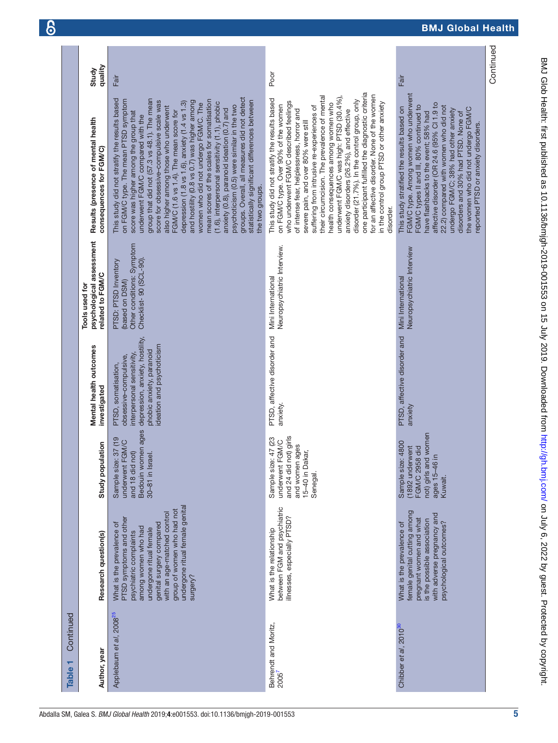| Continued<br>۳<br><b>Table</b>      |                                                                                                                                                                                                                                                                          |                                                                                                                     |                                                                                                                                                                        |                                                                                               |                                                                                                                                                                                                                                                                                                                                                                                                                                                                                                                                                                                                                                                                                                                                                                                                           |                  |
|-------------------------------------|--------------------------------------------------------------------------------------------------------------------------------------------------------------------------------------------------------------------------------------------------------------------------|---------------------------------------------------------------------------------------------------------------------|------------------------------------------------------------------------------------------------------------------------------------------------------------------------|-----------------------------------------------------------------------------------------------|-----------------------------------------------------------------------------------------------------------------------------------------------------------------------------------------------------------------------------------------------------------------------------------------------------------------------------------------------------------------------------------------------------------------------------------------------------------------------------------------------------------------------------------------------------------------------------------------------------------------------------------------------------------------------------------------------------------------------------------------------------------------------------------------------------------|------------------|
| Author, year                        | Research question(s)                                                                                                                                                                                                                                                     | Study population                                                                                                    | Mental health outcomes<br>investigated                                                                                                                                 | psychological assessment<br>related to FGM/C<br>Tools used for                                | Results (presence of mental health<br>consequences for FGM/C)                                                                                                                                                                                                                                                                                                                                                                                                                                                                                                                                                                                                                                                                                                                                             | quality<br>Study |
| Applebaum et al, 2008 <sup>25</sup> | undergone ritual female genital<br>group of women who had not<br>with an age-matched control<br>PTSD symptoms and other<br>What is the prevalence of<br>genital surgery compared<br>among women who had<br>undergone ritual female<br>psychiatric complaints<br>surgery? | Bedouin women ages<br>Sample size: 37 (19<br>underwent FGM/C<br>and 18 did not)<br>30-81 in Israel.                 | depression, anxiety, hostility,<br>ideation and psychoticism<br>phobic anxiety, paranoid<br>interpersonal sensitivity,<br>obsessive-compulsive,<br>PTSD, somatisation, | Other conditions: Symptom<br>Checklist-90 (SCL-90).<br>PTSD: PTSD Inventory<br>(based on DSM) | groups. Overall, all measures did not detect<br>This study did not stratify the results based<br>group that did not (57.3 vs 48.1). The mean<br>on FGM/C type. The mean PTSD symptom<br>mean scores of the scales for somatisation<br>statistically significant differences between<br>and hostility (0.8 vs 0.7) was higher among<br>score for obsessive-compulsive scale was<br>depression (1.8 vs 1.6), anxiety (1.4 vs 1.3)<br>(1.6), interpersonal sensitivity (1.1), phobic<br>women who did not undergo FGM/C. The<br>psychoticism (0.5) were similar in the two<br>also higher among those who underwent<br>anxiety (0.8), paranoid ideation (0.7) and<br>score was higher among the group that<br>FGM/C (1.6 vs 1.4). The mean score for<br>underwent FGM/C compared with the<br>the two groups. | Fair             |
| Behrendt and Moritz,<br>$2005^7$    | between FGM and psychiatric<br>illnesses, especially PTSD?<br>What is the relationship                                                                                                                                                                                   | and 24 did not) girls<br>Sample size: 47 (23<br>FGM/C<br>and women ages<br>15-40 in Dakar,<br>underwent<br>Senegal. | PTSD, affective disorder and<br>anxiety.                                                                                                                               | Neuropsychiatric Interview.<br>Mini International                                             | one participant fulfilled the diagnostic criteria<br>for an affective disorder. None of the women<br>underwent FGM/C was high: PTSD (30.4%),<br>their circumcision. The prevalence of mental<br>This study did not stratify the results based<br>disorder (21.7%). In the control group, only<br>who underwent FGM/C described feelings<br>in the control group PTSD or other anxiety<br>health consequences among women who<br>on FGM/C type. Over 90% of the women<br>suffering from intrusive re-experiences of<br>of intense fear, helplessness, horror and<br>anxiety disorders (26.2%), and effective<br>severe pain, and over 80% were still<br>disorder.                                                                                                                                          | Poor             |
| Chibber et al, 2010 <sup>30</sup>   | female genital cutting among<br>with adverse pregnancy and<br>pregnant women and what<br>is the possible association<br>psychological outcomes?<br>What is the prevalence of                                                                                             | not) girls and women<br>Sample size: 4800<br>(1892 underwent<br>FGM/C 2958 did<br>⊒.<br>ages 15-46<br>Kuwait.       | PTSD, affective disorder and<br>anxiety                                                                                                                                | Neuropsychiatric Interview<br>Mini International                                              | FGM/C type. Among women who underwent<br>affective disorder (OR 24.6 (95% CI 1.9 to<br>FGM/C types II and III, 80% continued to<br>22.2) compared with women who did not<br>This study stratified the results based on<br>the women who did not undergo FGM/C<br>undergo FGM/C; 38% had other anxiety<br>nave flashbacks to the event; 58% had<br>disorders and 30% had PTSD. None of<br>reported PTSD or anxiety disorders.                                                                                                                                                                                                                                                                                                                                                                              | Fair             |
|                                     |                                                                                                                                                                                                                                                                          |                                                                                                                     |                                                                                                                                                                        |                                                                                               |                                                                                                                                                                                                                                                                                                                                                                                                                                                                                                                                                                                                                                                                                                                                                                                                           | Continued        |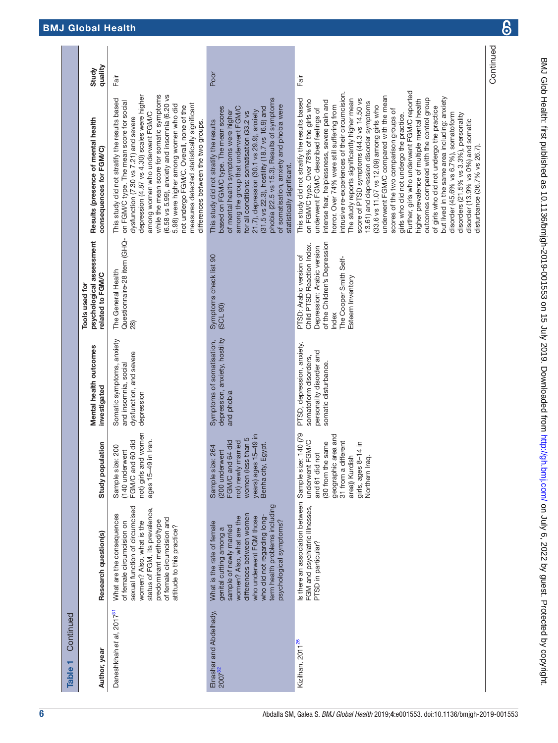Tools used for<br>psychological assessment<br>related to FGM/C

|                                                               |                                                                                                                                                                                                                                                                                                                                                                                                                                                                                               |                                                                                                                                                                                                                                                                                                                                                                                                                                    |                                                                                                                                                                                                                                                                                                                                                                                                                                                                                                                                                                                                                                                                                                                                                                                                                                                                                                                                                                                                     | Continued |
|---------------------------------------------------------------|-----------------------------------------------------------------------------------------------------------------------------------------------------------------------------------------------------------------------------------------------------------------------------------------------------------------------------------------------------------------------------------------------------------------------------------------------------------------------------------------------|------------------------------------------------------------------------------------------------------------------------------------------------------------------------------------------------------------------------------------------------------------------------------------------------------------------------------------------------------------------------------------------------------------------------------------|-----------------------------------------------------------------------------------------------------------------------------------------------------------------------------------------------------------------------------------------------------------------------------------------------------------------------------------------------------------------------------------------------------------------------------------------------------------------------------------------------------------------------------------------------------------------------------------------------------------------------------------------------------------------------------------------------------------------------------------------------------------------------------------------------------------------------------------------------------------------------------------------------------------------------------------------------------------------------------------------------------|-----------|
| quality<br>Study                                              | iis<br>Fair                                                                                                                                                                                                                                                                                                                                                                                                                                                                                   | Poor                                                                                                                                                                                                                                                                                                                                                                                                                               | in<br>Fair                                                                                                                                                                                                                                                                                                                                                                                                                                                                                                                                                                                                                                                                                                                                                                                                                                                                                                                                                                                          |           |
| Results (presence of mental health<br>consequences for FGM/C) | while the mean score for somatic symptoms<br>(6.58 vs 5.99), anxiety and insomnia (6.20 vs<br>depression (4.87 vs 4.30) scales were higher<br>This study did not stratify the results based<br>on FGM/C type. The mean score for social<br>measures detected statistically significant<br>5.98) were higher among women who did<br>not undergo FGM/C. Overall, none of the<br>among women who underwent FGM/C<br>dysfunction (7.30 vs 7.21) and severe<br>differences between the two groups. | phobia (22.5 vs 15.3). Results of symptoms<br>of somatisation, anxiety and phobia were<br>based on FGM/C type. The mean scores<br>among the group that underwent FGM/C<br>(31.5 vs 22.3), hostility (18.7 vs 16.9) and<br>of mental health symptoms were higher<br>21.7), depression (30.1 vs 29.9), anxiety<br>for all conditions: somatisation (33.2 vs<br>This study did not stratify the results<br>statistically significant. | Further, girls who underwent FGM/C reported<br>intrusive re-experiences of their circumcision.<br>underwent FGM/C compared with the mean<br>but lived in the same area including: anxiety<br>outcomes compared with the control group<br>score of PTSD symptoms (44.3 vs 14.50 vs<br>The study reports significantly higher mean<br>higher prevalence of multiple mental health<br>This study did not stratify the results based<br>on FGM/C type. Over 78% of the girls who<br>intense fear, helplessness, severe pain and<br>13.61) and depression disorder symptoms<br>horror. Over 74% were still suffering from<br>(33.6 vs 11.07 vs 12.09) among girls who<br>of girls who did not undergo the practice<br>underwent FGM/C described feelings of<br>scores of the two comparison groups of<br>disorder (45.6% vs 6.7%), somatoform<br>disorders (21.5% vs 3.3%), personality<br>girls who did not undergo the practice.<br>disorder (13.9% vs 0%) and somatic<br>disturbance (36.7% vs 26.7). |           |
| psychological assessment<br>related to FGM/C<br>ools used for | Questionnaire-28 item (GHQ-<br>The General Health<br>28)                                                                                                                                                                                                                                                                                                                                                                                                                                      | Symptoms check list 90<br>(5CL90)                                                                                                                                                                                                                                                                                                                                                                                                  | of the Children's Depression<br>Child PTSD Reaction Index.<br>Depression: Arabic version<br>PTSD: Arabic version of<br>The Cooper Smith Self-<br>Esteem Inventory<br>Index                                                                                                                                                                                                                                                                                                                                                                                                                                                                                                                                                                                                                                                                                                                                                                                                                          |           |
| Mental health outcomes<br>investigated                        | Somatic symptoms, anxiety<br>dysfunction, and severe<br>and insomnia, social<br>depression                                                                                                                                                                                                                                                                                                                                                                                                    | depression, anxiety, hostility<br>Symptoms of somatisation,<br>and phobia                                                                                                                                                                                                                                                                                                                                                          | PTSD, depression, anxiety,<br>personality disorder and<br>somatoform disorders,<br>somatic disturbance.                                                                                                                                                                                                                                                                                                                                                                                                                                                                                                                                                                                                                                                                                                                                                                                                                                                                                             |           |
| Study population                                              | not) girls and women<br>ages 15-49 in Iran.<br>FGM/C and 60 did<br>Sample size: 200<br>(140 underwent                                                                                                                                                                                                                                                                                                                                                                                         | years) ages 15-49 in<br>women (less than 5<br>FGM/C and 64 did<br>married<br>Egypt.<br>Sample size: 264<br>(200 underwent<br>Benha city,<br>not) newly                                                                                                                                                                                                                                                                             | Sample size: 140 (79<br>geographic area and<br>FGM/C<br>(30 from the same<br>31 from a different<br>girls, ages 8-14 in<br>and 61 did not<br>area)) Kurdish<br>Northern Iraq.<br>underwent                                                                                                                                                                                                                                                                                                                                                                                                                                                                                                                                                                                                                                                                                                                                                                                                          |           |
| Research question(s)                                          | sexual function of circumcised<br>status of FGM, its prevalence,<br>What are the consequences<br>of female circumcision and<br>predominant method/type<br>women? Also, what is the<br>of female circumcision on<br>attitude to this practice?                                                                                                                                                                                                                                                 | term health problems including<br>differences between women<br>women? Also, what are the<br>who underwent FGM those<br>who did not regarding long<br>psychological symptoms?<br>What is the rate of female<br>sample of newly married<br>genital cutting among a                                                                                                                                                                   | Is there an association between<br>FGM and psychiatric illnesses,<br>PTSD in particular?                                                                                                                                                                                                                                                                                                                                                                                                                                                                                                                                                                                                                                                                                                                                                                                                                                                                                                            |           |
| Author, year                                                  | Daneshkhah et al, 2017 <sup>31</sup>                                                                                                                                                                                                                                                                                                                                                                                                                                                          | Einashar and Abdelhady,<br>2007 <sup>32</sup>                                                                                                                                                                                                                                                                                                                                                                                      | Kizilhan, 2011 <sup>26</sup>                                                                                                                                                                                                                                                                                                                                                                                                                                                                                                                                                                                                                                                                                                                                                                                                                                                                                                                                                                        |           |

Table 1 Continued

Table 1

Continued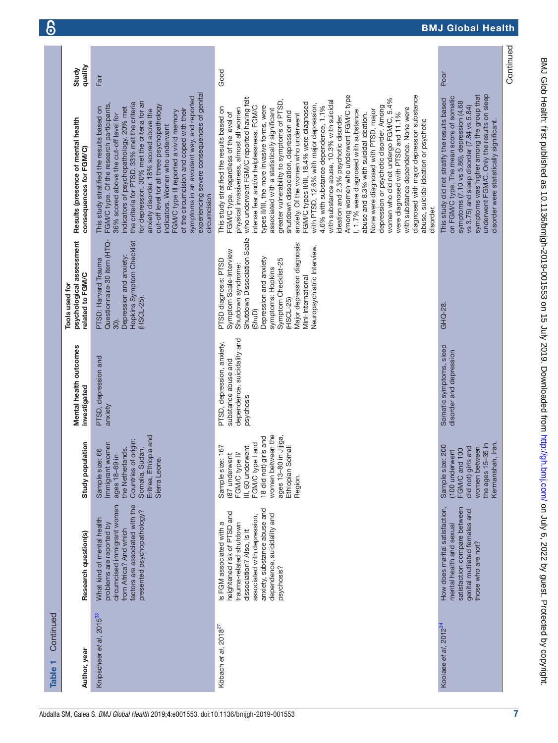| Continued<br>Table <sub>1</sub>      |                                                                                                                                                                                                                             |                                                                                                                                                                                                    |                                                                                               |                                                                                                                                                                                                                                                                                        |                                                                                                                                                                                                                                                                                                                                                                                                                                                                                                                                                                                                                                                                                                                                                                                                                                                                                                                                                                                                                                                                                                                 |                  |
|--------------------------------------|-----------------------------------------------------------------------------------------------------------------------------------------------------------------------------------------------------------------------------|----------------------------------------------------------------------------------------------------------------------------------------------------------------------------------------------------|-----------------------------------------------------------------------------------------------|----------------------------------------------------------------------------------------------------------------------------------------------------------------------------------------------------------------------------------------------------------------------------------------|-----------------------------------------------------------------------------------------------------------------------------------------------------------------------------------------------------------------------------------------------------------------------------------------------------------------------------------------------------------------------------------------------------------------------------------------------------------------------------------------------------------------------------------------------------------------------------------------------------------------------------------------------------------------------------------------------------------------------------------------------------------------------------------------------------------------------------------------------------------------------------------------------------------------------------------------------------------------------------------------------------------------------------------------------------------------------------------------------------------------|------------------|
| Author, year                         | Research question(s)                                                                                                                                                                                                        | Study population                                                                                                                                                                                   | Mental health outcomes<br>investigated                                                        | psychological assessment<br>related to FGM/C<br>Tools used for                                                                                                                                                                                                                         | Results (presence of mental health<br>consequences for FGM/C)                                                                                                                                                                                                                                                                                                                                                                                                                                                                                                                                                                                                                                                                                                                                                                                                                                                                                                                                                                                                                                                   | quality<br>Study |
| Knipscheer et al, 2015 <sup>33</sup> | factors are associated with the<br>circumcised immigrant women<br>presented psychopathology?<br>What kind of mental health<br>problems are reported by<br>from Africa? And which                                            | Eritrea, Ethiopia and<br>Countries of origin:<br>Immigrant women<br>Somalia, Sudan,<br>the Netherlands.<br>Sample size: 66<br>ages 18-69 in<br>Sierra Leone                                        | PTSD, depression and<br>anxiety                                                               | Questionnaire-30 item (HTQ-<br>Hopkins Symptom Checklist<br>Depression and anxiety:<br>PTSD: Harvard Trauma<br>(HSCL-25).<br>30).                                                                                                                                                      | experiencing severe consequences of genital<br>symptoms in an avoidant way, and reported<br>for depression. 30% met the criteria for an<br>the criteria for PTSD. 33% met the criteria<br>FGM/C type. Of the research participants,<br>cut-off level for all three psychopathology<br>indicators of psychopathology. 20% met<br>This study stratified the results based on<br>of the circumcision and coped with their<br>anxiety disorder. 18% scored above the<br>FGM/C type III reported a vivid memory<br>36% scored above the cut-off level for<br>indicators. Women who underwent<br>circumcision                                                                                                                                                                                                                                                                                                                                                                                                                                                                                                         | Fair             |
| Köbach et al, 2018 <sup>27</sup>     | anxiety, substance abuse and<br>heightened risk of PTSD and<br>dependence, suicidality and<br>associated with depression,<br>Is FGM associated with a<br>trauma-related shutdown<br>dissociation? Also, is it<br>psychosis? | women between the<br>ages 13-80 in Jijiga,<br>18 did not) girls and<br>FGM/C type I and<br>Sample size: 167<br>Ethiopian Somali<br>III, 60 underwent<br>FGM/C type II/<br>(87 underwent<br>Region. | dependence, suicidality and<br>PTSD, depression, anxiety,<br>substance abuse and<br>psychosis | Shutdown Dissociation Scale<br>Major depression diagnosis:<br>Neuropsychiatric Interview.<br>Symptom Scale-Interview<br>Depression and anxiety<br>PTSD diagnosis: PTSD<br>Symptom Checklist-25<br>Shutdown syndrome:<br>symptoms: Hopkins<br>Mini-International<br>(HSCL-25)<br>(ShuD) | diagnosed with major depression substance<br>Among women who underwent FGM/C type<br>who underwent FGM/C reported having felt<br>women who did not undergo FGM/C, 5.4%<br>with substance abuse, 10.3% with suicidal<br>greater vulnerability to symptoms of PTSD,<br>FGM/C types II/III, 18.4% were diagnosed<br>with PTSD, 12.6% with major depression,<br>depression or psychotic disorder. Among<br>intense fear and/or helplessness. FGM/C<br>types II/III, the more invasive forms, were<br>4.6% with substance dependence, 1.1%<br>This study stratified the results based on<br>physical invasiveness, almost all women<br>with substance dependence. None were<br>associated with a statistically significant<br>1, 1.7% were diagnosed with substance<br>None were diagnosed with PTSD, major<br>shutdown dissociation, depression and<br>FGM/C type. Regardless of the level of<br>were diagnosed with PTSD and 11.1%<br>anxiety. Of the women who underwent<br>abuse and 8.3% with suicidal ideation.<br>ideation and 2.3% psychotic disorder.<br>abuse, suicidal ideation or psychotic<br>disorder. | Good             |
| Koolaee et al, 2012 <sup>34</sup>    | How does marital satisfaction,<br>satisfaction compare between<br>genital mutilated females and<br>mental health and sexual<br>those who are not?                                                                           | Kermanshah, Iran.<br>the ages 15-35 in<br>: 200<br>women between<br>did not) girls and<br>FGM/C and 100<br>(100 underwent<br>Sample size:                                                          | Somatic symptoms, sleep<br>disorder and depression                                            | GHQ-28                                                                                                                                                                                                                                                                                 | symptoms was higher among the group that<br>underwent FGM/C. Only the results on sleep<br>on FGM/C type. The mean score of somatic<br>This study did not stratify the results based<br>symptoms (7.10 vs 5.86), depression (4.68<br>vs 3.75) and sleep disorder (7.84 vs 5.84)<br>disorder were statistically significant.                                                                                                                                                                                                                                                                                                                                                                                                                                                                                                                                                                                                                                                                                                                                                                                      | Poor             |

BMJ Global Health

Continued

Continued

BMJ Glob Health: first published as 10.1136/bmigh-2019-001553 on 15 July 2019. Downloaded from http://gh.bmj.com/ on July 6, 2022 by guest. Protected by copyright. BMJ Glob Health: first published as 10.1136/bmjgh-2019-001553 on 15 July 2019. Downloaded from <http://gh.bmj.com/> on July 6, 2022 by guest. Protected by copyright

7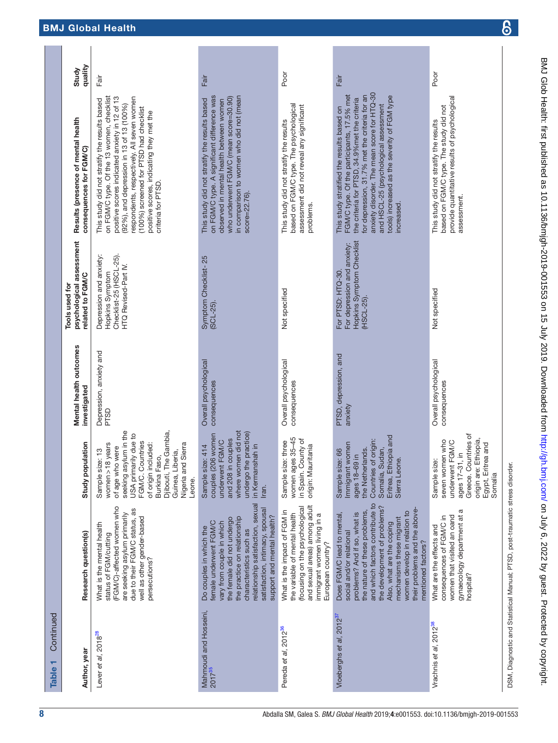# BMJ Global Health  $\overline{1}$

| Continued<br>٣<br><b>Table</b>               |                                                                                                                                                                                                                                                                                                                                            |                                                                                                                                                                                                                                                     |                                        |                                                                                               |                                                                                                                                                                                                                                                                                                                                                   |                  |
|----------------------------------------------|--------------------------------------------------------------------------------------------------------------------------------------------------------------------------------------------------------------------------------------------------------------------------------------------------------------------------------------------|-----------------------------------------------------------------------------------------------------------------------------------------------------------------------------------------------------------------------------------------------------|----------------------------------------|-----------------------------------------------------------------------------------------------|---------------------------------------------------------------------------------------------------------------------------------------------------------------------------------------------------------------------------------------------------------------------------------------------------------------------------------------------------|------------------|
| Author, year                                 | Research question(s)                                                                                                                                                                                                                                                                                                                       | Study population                                                                                                                                                                                                                                    | Mental health outcomes<br>investigated | psychological assessment<br>related to FGM/C<br>Tools used for                                | Results (presence of mental health<br>consequences for FGM/C)                                                                                                                                                                                                                                                                                     | quality<br>Study |
| Lever et al, 2018 <sup>28</sup>              | (FGM/C)-affected women who<br>due to their FGM/C status, as<br>are seeking asylum primarily<br>well as other gender-based<br>persecutions?<br>What is the mental health<br>status of FGM/cutting                                                                                                                                           | seeking asylum in the<br>Djibouti, The Gambia,<br>USA primarily due to<br>FGM/C. Countries<br>of origin included:<br>Sierra<br>women > 18 years<br>of age who were<br>Sample size: 13<br>Guinea, Liberia,<br>Burkina Faso,<br>Nigeria and<br>Leone. | Depression, anxiety and<br>PTSD        | Checklist-25 (HSCL-25).<br>Depression and anxiety:<br>HTQ Revised-Part IV.<br>Hopkins Symptom | on FGM/C type. Of the 13 women, checklist<br>positive scores indicated anxiety in 12 of 13<br>respondents, respectively. All seven women<br>This study did not stratify the results based<br>(92%), and depression in 13 of 13 (100%)<br>(100%) screened for PTSD had checklist<br>positive scores, indicating they met the<br>criteria for PTSD. | Fair             |
| Mahmoudi and Hosseini,<br>2017 <sup>35</sup> | relationship satisfaction, sexual<br>satisfaction, intimacy, spousal<br>support and mental health?<br>the practice on relationship<br>the female did not undergo<br>female underwent FGM/C<br>vary from couple in which<br>Do couples in which the<br>characteristics such as                                                              | where women did not<br>undergo the practice)<br>couples (206 women<br>and 208 in couples<br>underwent FGM/C<br>in Kermanshah in<br>Sample size: 414<br>Iran.                                                                                        | Overall psychological<br>consequences  | Symptom Checklist-25<br>$(SCL-25)$ .                                                          | on FGM/C type. A significant difference was<br>in comparison to women who did not (mean<br>who underwent FGM/C (mean score=30.90)<br>This study did not stratify the results based<br>observed in mental health between women<br>score=22.76).                                                                                                    | iis∃             |
| Pereda et al, 2012 <sup>36</sup>             | and sexual areas) among adult<br>(focusing on the psychological<br>What is the impact of FGM in<br>the variable of mental health<br>immigrant women living in a<br>European country?                                                                                                                                                       | women ages 35-45<br>in Spain. County of<br>Sample size: three<br>origin: Mauritania                                                                                                                                                                 | Overall psychological<br>consequences  | Not specified                                                                                 | based on FGM/C type. The psychological<br>assessment did not reveal any significant<br>This study did not stratify the results<br>problems.                                                                                                                                                                                                       | Poor             |
| Vloeberghs et al, 2012 <sup>37</sup>         | and which factors contribute to<br>the development of problems?<br>their problems and the above-<br>the nature of these problems,<br>women develop in relation to<br>problems? And if so, what is<br>Does FGM/C lead to mental,<br>mechanisms these migrant<br>Also, what are the coping<br>social and/or relational<br>mentioned factors? | Eritrea, Ethiopia and<br>Countries of origin:<br>Immigrant women<br>Somalia, Sudan,<br>the Netherlands.<br>Sample size: 66<br>$\equiv$<br>Sierra Leone.<br>ages 18-69                                                                               | PTSD, depression, and<br>anxiety       | Hopkins Symptom Checklist<br>For depression and anxiety:<br>For PTSD: HTQ-30.<br>(HSCL-25).   | anxiety disorder. The mean score for HTQ-30<br>FGM/C type. Of the participants, 17.5% met<br>for depression, 31.7% met the criteria for an<br>tools) increased as the severity of FGM type<br>the criteria for PTSD, 34.9% met the criteria<br>and HSCL-25 (psychological assessment<br>This study stratified the results based on<br>increased.  | Fair             |
| Vrachnis et al, 2012 <sup>38</sup>           | α<br>gynaecology department at<br>women that visited an oand<br>consequences of FGM/C in<br>What are the effects and<br>hospital?                                                                                                                                                                                                          | Greece. Countries of<br>origin are: Ethiopia,<br>seven women who<br>underwent FGM/C<br>Egypt, Eritrea and<br>Somalia<br>ages 17-31, in<br>Sample size:                                                                                              | Overall psychological<br>consequences  | Not specified                                                                                 | provide quantitative results of psychological<br>based on FGM/C type. The study did not<br>This study did not stratify the results<br>assessment.                                                                                                                                                                                                 | Poor             |
|                                              | DSM. Diagnostic and Statistical Manual: PTSD. post-traumatic stress disorder.                                                                                                                                                                                                                                                              |                                                                                                                                                                                                                                                     |                                        |                                                                                               |                                                                                                                                                                                                                                                                                                                                                   |                  |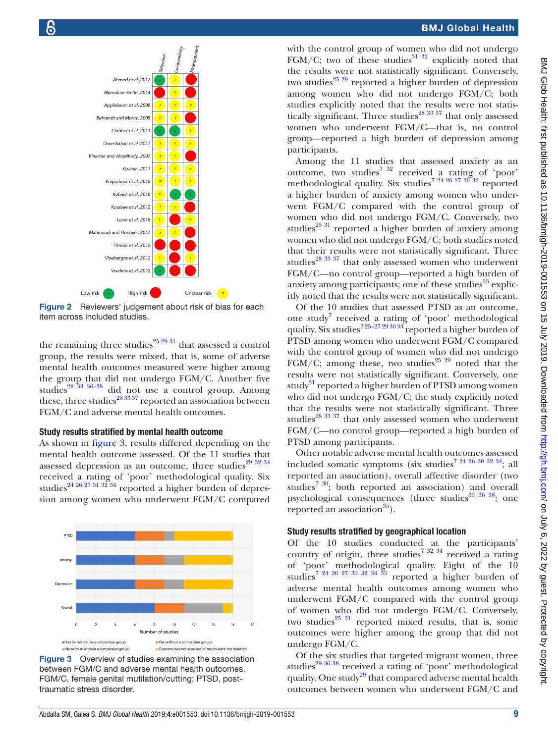

<span id="page-8-0"></span>Figure 2 Reviewers' judgement about risk of bias for each item across included studies.

the remaining three studies<sup>25</sup>  $29$  31 that assessed a control group, the results were mixed, that is, some of adverse mental health outcomes measured were higher among the group that did not undergo FGM/C. Another five studies<sup>28 33 36–38</sup> did not use a control group. Among these, three studies<sup>28 33 37</sup> reported an association between FGM/C and adverse mental health outcomes.

#### Study results stratified by mental health outcome

As shown in [figure](#page-8-1) 3, results differed depending on the mental health outcome assessed. Of the 11 studies that assessed depression as an outcome, three studies<sup>29 32 34</sup> received a rating of 'poor' methodological quality. Six studies<sup>24 26 27 31 32 34</sup> reported a higher burden of depression among women who underwent FGM/C compared



<span id="page-8-1"></span>**Figure 3** Overview of studies examining the association between FGM/C and adverse mental health outcomes. FGM/C, female genital mutilation/cutting; PTSD, posttraumatic stress disorder.

with the control group of women who did not undergo FGM/C; two of these studies $31\frac{32}{2}$  explicitly noted that the results were not statistically significant. Conversely, two studies<sup>25</sup> <sup>29</sup> reported a higher burden of depression among women who did not undergo FGM/C; both studies explicitly noted that the results were not statistically significant. Three studies<sup>28 33 37</sup> that only assessed women who underwent FGM/C—that is, no control group—reported a high burden of depression among participants.

Among the 11 studies that assessed anxiety as an outcome, two studies<sup>7 32</sup> received a rating of 'poor' methodological quality. Six studies<sup>7</sup>  $\frac{24.26 \times 7.30 \times 32}{22.26 \times 7.30 \times 32}$  reported a higher burden of anxiety among women who underwent FGM/C compared with the control group of women who did not undergo FGM/C. Conversely, two studies $^{25}$ <sup>31</sup> reported a higher burden of anxiety among women who did not undergo FGM/C; both studies noted that their results were not statistically significant. Three studies<sup>[28 33 37](#page-10-17)</sup> that only assessed women who underwent FGM/C—no control group—reported a high burden of anxiety among participants; one of these studies $33$  explicitly noted that the results were not statistically significant.

Of the 10 studies that assessed PTSD as an outcome, one study<sup>[7](#page-10-15)</sup> received a rating of 'poor' methodological quality. Six studies<sup>725–2729 3033</sup> reported a higher burden of PTSD among women who underwent FGM/C compared with the control group of women who did not undergo FGM/C; among these, two studies<sup>[25 29](#page-10-18)</sup> noted that the results were not statistically significant. Conversely, one study<sup>31</sup> reported a higher burden of PTSD among women who did not undergo FGM/C; the study explicitly noted that the results were not statistically significant. Three studies<sup>[28 33 37](#page-10-17)</sup> that only assessed women who underwent FGM/C—no control group—reported a high burden of PTSD among participants.

Other notable adverse mental health outcomes assessed included somatic symptoms (six studies<sup>7 24 26 30 32 34</sup>; all reported an association), overall affective disorder (two studies<sup>7 30</sup>; both reported an association) and overall psychological consequences (three studies<sup>35 36 38</sup>; one reported an association<sup>35</sup>).

#### Study results stratified by geographical location

Of the 10 studies conducted at the participants' country of origin, three studies<sup>7 32 34</sup> received a rating of 'poor' methodological quality. Eight of the 10 studies<sup>[7 24 26 27 30 32 34 35](#page-10-15)</sup> reported a higher burden of adverse mental health outcomes among women who underwent FGM/C compared with the control group of women who did not undergo FGM/C. Conversely, two studies $^{25}$ <sup>31</sup> reported mixed results, that is, some outcomes were higher among the group that did not undergo FGM/C.

Of the six studies that targeted migrant women, three studies $^{29\,36\,38}$  received a rating of 'poor' methodological quality. One study<sup>29</sup> that compared adverse mental health outcomes between women who underwent FGM/C and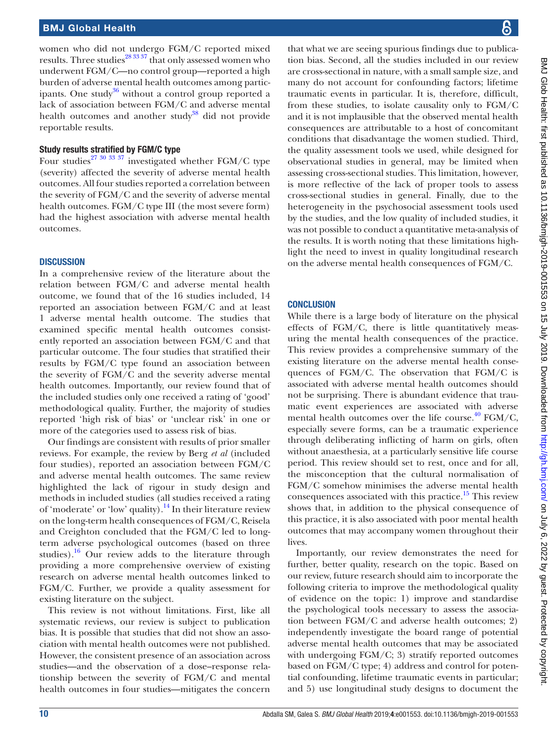women who did not undergo FGM/C reported mixed results. Three studies<sup>[28 33 37](#page-10-17)</sup> that only assessed women who underwent FGM/C—no control group—reported a high burden of adverse mental health outcomes among partic-ipants. One study<sup>[36](#page-10-25)</sup> without a control group reported a lack of association between FGM/C and adverse mental health outcomes and another study<sup>38</sup> did not provide reportable results.

#### Study results stratified by FGM/C type

Four studies<sup>27 30 33 37</sup> investigated whether FGM/C type (severity) affected the severity of adverse mental health outcomes. All four studies reported a correlation between the severity of FGM/C and the severity of adverse mental health outcomes. FGM/C type III (the most severe form) had the highest association with adverse mental health outcomes.

### **DISCUSSION**

In a comprehensive review of the literature about the relation between FGM/C and adverse mental health outcome, we found that of the 16 studies included, 14 reported an association between FGM/C and at least 1 adverse mental health outcome. The studies that examined specific mental health outcomes consistently reported an association between FGM/C and that particular outcome. The four studies that stratified their results by FGM/C type found an association between the severity of FGM/C and the severity adverse mental health outcomes. Importantly, our review found that of the included studies only one received a rating of 'good' methodological quality. Further, the majority of studies reported 'high risk of bias' or 'unclear risk' in one or more of the categories used to assess risk of bias.

Our findings are consistent with results of prior smaller reviews. For example, the review by Berg *et al* (included four studies), reported an association between FGM/C and adverse mental health outcomes. The same review highlighted the lack of rigour in study design and methods in included studies (all studies received a rating of 'moderate' or 'low' quality).<sup>14</sup> In their literature review on the long-term health consequences of FGM/C, Reisela and Creighton concluded that the FGM/C led to longterm adverse psychological outcomes (based on three studies).<sup>16</sup> Our review adds to the literature through providing a more comprehensive overview of existing research on adverse mental health outcomes linked to FGM/C. Further, we provide a quality assessment for existing literature on the subject.

This review is not without limitations. First, like all systematic reviews, our review is subject to publication bias. It is possible that studies that did not show an association with mental health outcomes were not published. However, the consistent presence of an association across studies—and the observation of a dose–response relationship between the severity of FGM/C and mental health outcomes in four studies—mitigates the concern

that what we are seeing spurious findings due to publication bias. Second, all the studies included in our review are cross-sectional in nature, with a small sample size, and many do not account for confounding factors; lifetime traumatic events in particular. It is, therefore, difficult, from these studies, to isolate causality only to FGM/C and it is not implausible that the observed mental health consequences are attributable to a host of concomitant conditions that disadvantage the women studied. Third, the quality assessment tools we used, while designed for observational studies in general, may be limited when assessing cross-sectional studies. This limitation, however, is more reflective of the lack of proper tools to assess cross-sectional studies in general. Finally, due to the heterogeneity in the psychosocial assessment tools used by the studies, and the low quality of included studies, it was not possible to conduct a quantitative meta-analysis of the results. It is worth noting that these limitations highlight the need to invest in quality longitudinal research on the adverse mental health consequences of FGM/C.

# **CONCLUSION**

While there is a large body of literature on the physical effects of FGM/C, there is little quantitatively measuring the mental health consequences of the practice. This review provides a comprehensive summary of the existing literature on the adverse mental health consequences of FGM/C. The observation that FGM/C is associated with adverse mental health outcomes should not be surprising. There is abundant evidence that traumatic event experiences are associated with adverse mental health outcomes over the life course.  $^{40}$  FGM/C, especially severe forms, can be a traumatic experience through deliberating inflicting of harm on girls, often without anaesthesia, at a particularly sensitive life course period. This review should set to rest, once and for all, the misconception that the cultural normalisation of FGM/C somehow minimises the adverse mental health consequences associated with this practice.<sup>15</sup> This review shows that, in addition to the physical consequence of this practice, it is also associated with poor mental health outcomes that may accompany women throughout their lives.

Importantly, our review demonstrates the need for further, better quality, research on the topic. Based on our review, future research should aim to incorporate the following criteria to improve the methodological quality of evidence on the topic: 1) improve and standardise the psychological tools necessary to assess the association between FGM/C and adverse health outcomes; 2) independently investigate the board range of potential adverse mental health outcomes that may be associated with undergoing FGM/C; 3) stratify reported outcomes based on FGM/C type; 4) address and control for potential confounding, lifetime traumatic events in particular; and 5) use longitudinal study designs to document the